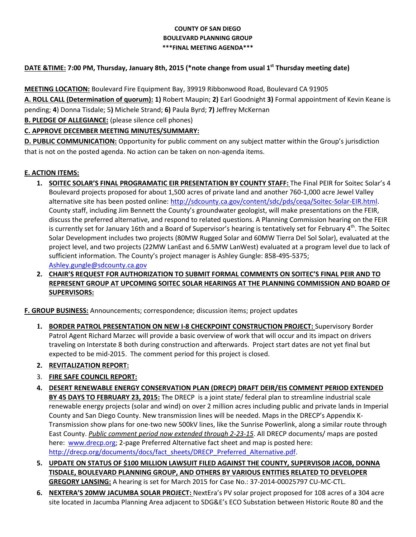### **COUNTY OF SAN DIEGO BOULEVARD PLANNING GROUP \*\*\*FINAL MEETING AGENDA\*\*\***

# **DATE &TIME: 7:00 PM, Thursday, January 8th, 2015 (\*note change from usual 1st Thursday meeting date)**

**MEETING LOCATION:** Boulevard Fire Equipment Bay, 39919 Ribbonwood Road, Boulevard CA 91905

**A. ROLL CALL (Determination of quorum): 1)** Robert Maupin; **2)** Earl Goodnight **3)** Formal appointment of Kevin Keane is pending; **4**) Donna Tisdale; 5**)** Michele Strand; **6)** Paula Byrd; **7)** Jeffrey McKernan

**B. PLEDGE OF ALLEGIANCE:** (please silence cell phones)

## **C. APPROVE DECEMBER MEETING MINUTES/SUMMARY:**

**D. PUBLIC COMMUNICATION:** Opportunity for public comment on any subject matter within the Group's jurisdiction that is not on the posted agenda. No action can be taken on non-agenda items.

### **E. ACTION ITEMS:**

- **1. SOITEC SOLAR'S FINAL PROGRAMATIC EIR PRESENTATION BY COUNTY STAFF:** The Final PEIR for Soitec Solar's 4 Boulevard projects proposed for about 1,500 acres of private land and another 760-1,000 acre Jewel Valley alternative site has been posted online: [http://sdcounty.ca.gov/content/sdc/pds/ceqa/Soitec-Solar-EIR.html.](http://sdcounty.ca.gov/content/sdc/pds/ceqa/Soitec-Solar-EIR.html) County staff, including Jim Bennett the County's groundwater geologist, will make presentations on the FEIR, discuss the preferred alternative, and respond to related questions. A Planning Commission hearing on the FEIR is currently set for January 16th and a Board of Supervisor's hearing is tentatively set for February 4<sup>th</sup>. The Soitec Solar Development includes two projects (80MW Rugged Solar and 60MW Tierra Del Sol Solar), evaluated at the project level, and two projects (22MW LanEast and 6.5MW LanWest) evaluated at a program level due to lack of sufficient information. The County's project manager is Ashley Gungle: 858-495-5375; [Ashley.gungle@sdcounty.ca.gov](mailto:Ashley.gungle@sdcounty.ca.gov)
- **2. CHAIR'S REQUEST FOR AUTHORIZATION TO SUBMIT FORMAL COMMENTS ON SOITEC'S FINAL PEIR AND TO REPRESENT GROUP AT UPCOMING SOITEC SOLAR HEARINGS AT THE PLANNING COMMISSION AND BOARD OF SUPERVISORS:**

**F. GROUP BUSINESS:** Announcements; correspondence; discussion items; project updates

**1. BORDER PATROL PRESENTATION ON NEW I-8 CHECKPOINT CONSTRUCTION PROJECT:** Supervisory Border Patrol Agent Richard Marzec will provide a basic overview of work that will occur and its impact on drivers traveling on Interstate 8 both during construction and afterwards. Project start dates are not yet final but expected to be mid-2015. The comment period for this project is closed.

## **2. REVITALIZATION REPORT:**

- 3. **FIRE SAFE COUNCIL REPORT:**
- **4. DESERT RENEWABLE ENERGY CONSERVATION PLAN (DRECP) DRAFT DEIR/EIS COMMENT PERIOD EXTENDED BY 45 DAYS TO FEBRUARY 23, 2015:** The DRECP is a joint state/ federal plan to streamline industrial scale renewable energy projects (solar and wind) on over 2 million acres including public and private lands in Imperial County and San Diego County. New transmission lines will be needed. Maps in the DRECP's Appendix K-Transmission show plans for one-two new 500kV lines, like the Sunrise Powerlink, along a similar route through East County. *Public comment period now extended through 2-23-15*. All DRECP documents/ maps are posted here: www.drecp.org; 2-page Preferred Alternative fact sheet and map is posted here: [http://drecp.org/documents/docs/fact\\_sheets/DRECP\\_Preferred\\_Alternative.pdf.](http://drecp.org/documents/docs/fact_sheets/DRECP_Preferred_Alternative.pdf)
- **5. UPDATE ON STATUS OF \$100 MILLION LAWSUIT FILED AGAINST THE COUNTY, SUPERVISOR JACOB, DONNA TISDALE, BOULEVARD PLANNING GROUP, AND OTHERS BY VARIOUS ENTITIES RELATED TO DEVELOPER GREGORY LANSING:** A hearing is set for March 2015 for Case No.: 37-2014-00025797 CU-MC-CTL.
- **6. NEXTERA'S 20MW JACUMBA SOLAR PROJECT:** NextEra's PV solar project proposed for 108 acres of a 304 acre site located in Jacumba Planning Area adjacent to SDG&E's ECO Substation between Historic Route 80 and the